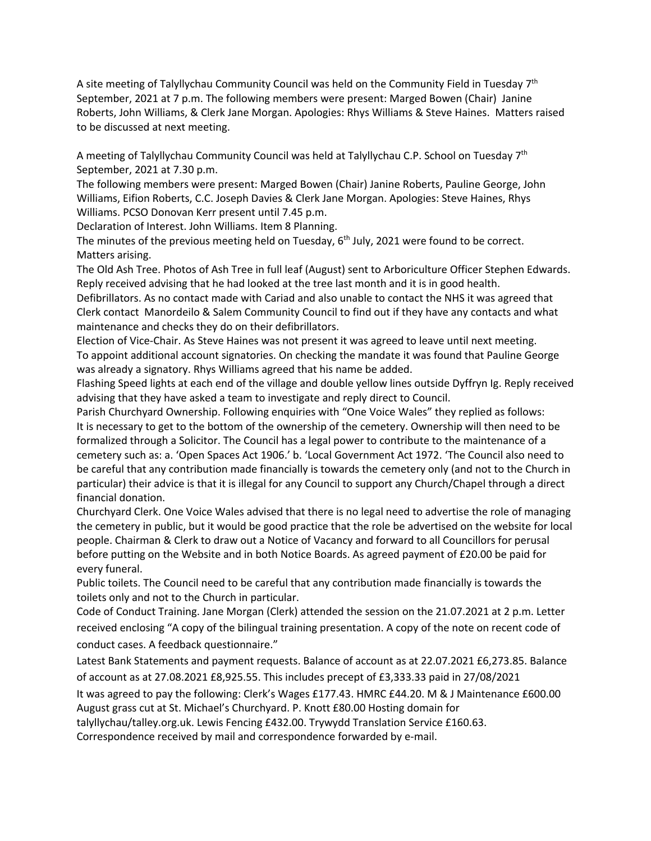A site meeting of Talyllychau Community Council was held on the Community Field in Tuesday 7<sup>th</sup> September, 2021 at 7 p.m. The following members were present: Marged Bowen (Chair) Janine Roberts, John Williams, & Clerk Jane Morgan. Apologies: Rhys Williams & Steve Haines. Matters raised to be discussed at next meeting.

A meeting of Talyllychau Community Council was held at Talyllychau C.P. School on Tuesday 7<sup>th</sup> September, 2021 at 7.30 p.m.

The following members were present: Marged Bowen (Chair) Janine Roberts, Pauline George, John Williams, Eifion Roberts, C.C. Joseph Davies & Clerk Jane Morgan. Apologies: Steve Haines, Rhys Williams. PCSO Donovan Kerr present until 7.45 p.m.

Declaration of Interest. John Williams. Item 8 Planning.

The minutes of the previous meeting held on Tuesday,  $6<sup>th</sup>$  July, 2021 were found to be correct. Matters arising.

The Old Ash Tree. Photos of Ash Tree in full leaf (August) sent to Arboriculture Officer Stephen Edwards. Reply received advising that he had looked at the tree last month and it is in good health.

Defibrillators. As no contact made with Cariad and also unable to contact the NHS it was agreed that Clerk contact Manordeilo & Salem Community Council to find out if they have any contacts and what maintenance and checks they do on their defibrillators.

Election of Vice-Chair. As Steve Haines was not present it was agreed to leave until next meeting. To appoint additional account signatories. On checking the mandate it was found that Pauline George was already a signatory. Rhys Williams agreed that his name be added.

Flashing Speed lights at each end of the village and double yellow lines outside Dyffryn Ig. Reply received advising that they have asked a team to investigate and reply direct to Council.

Parish Churchyard Ownership. Following enquiries with "One Voice Wales" they replied as follows: It is necessary to get to the bottom of the ownership of the cemetery. Ownership will then need to be formalized through a Solicitor. The Council has a legal power to contribute to the maintenance of a cemetery such as: a. 'Open Spaces Act 1906.' b. 'Local Government Act 1972. 'The Council also need to be careful that any contribution made financially is towards the cemetery only (and not to the Church in particular) their advice is that it is illegal for any Council to support any Church/Chapel through a direct financial donation.

Churchyard Clerk. One Voice Wales advised that there is no legal need to advertise the role of managing the cemetery in public, but it would be good practice that the role be advertised on the website for local people. Chairman & Clerk to draw out a Notice of Vacancy and forward to all Councillors for perusal before putting on the Website and in both Notice Boards. As agreed payment of £20.00 be paid for every funeral.

Public toilets. The Council need to be careful that any contribution made financially is towards the toilets only and not to the Church in particular.

Code of Conduct Training. Jane Morgan (Clerk) attended the session on the 21.07.2021 at 2 p.m. Letter received enclosing "A copy of the bilingual training presentation. A copy of the note on recent code of conduct cases. A feedback questionnaire."

Latest Bank Statements and payment requests. Balance of account as at 22.07.2021 £6,273.85. Balance of account as at 27.08.2021 £8,925.55. This includes precept of £3,333.33 paid in 27/08/2021

It was agreed to pay the following: Clerk's Wages £177.43. HMRC £44.20. M & J Maintenance £600.00 August grass cut at St. Michael's Churchyard. P. Knott £80.00 Hosting domain for

talyllychau/talley.org.uk. Lewis Fencing £432.00. Trywydd Translation Service £160.63.

Correspondence received by mail and correspondence forwarded by e-mail.